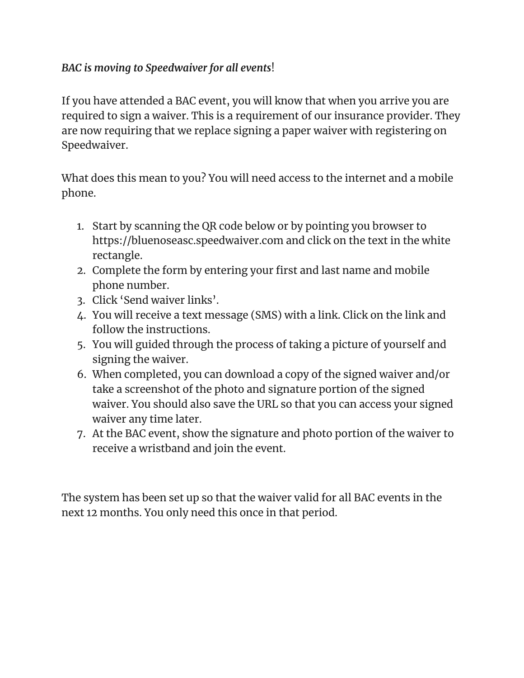## *BAC is moving to Speedwaiver for all events*!

If you have attended a BAC event, you will know that when you arrive you are required to sign a waiver. This is a requirement of our insurance provider. They are now requiring that we replace signing a paper waiver with registering on Speedwaiver.

What does this mean to you? You will need access to the internet and a mobile phone.

- 1. Start by scanning the QR code below or by pointing you browser to https://bluenoseasc.speedwaiver.com and click on the text in the white rectangle.
- 2. Complete the form by entering your first and last name and mobile phone number.
- 3. Click 'Send waiver links'.
- 4. You will receive a text message (SMS) with a link. Click on the link and follow the instructions.
- 5. You will guided through the process of taking a picture of yourself and signing the waiver.
- 6. When completed, you can download a copy of the signed waiver and/or take a screenshot of the photo and signature portion of the signed waiver. You should also save the URL so that you can access your signed waiver any time later.
- 7. At the BAC event, show the signature and photo portion of the waiver to receive a wristband and join the event.

The system has been set up so that the waiver valid for all BAC events in the next 12 months. You only need this once in that period.